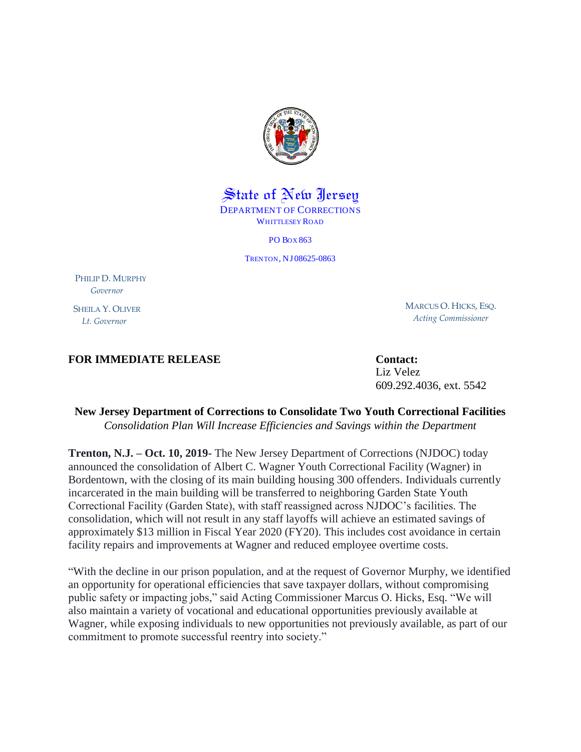

**State of New Jersey** DEPARTMENT OF CORRECTIONS WHITTLESEY ROAD

PO BOX 863

TRENTON, NJ 08625-0863

PHILIP D. MURPHY  *Governor* SHEILA Y. OLIVER  *Lt. Governor*

MARCUS O. HICKS, ESQ. *Acting Commissioner*

## **FOR IMMEDIATE RELEASE Contact: Contact:**

Liz Velez 609.292.4036, ext. 5542

## **New Jersey Department of Corrections to Consolidate Two Youth Correctional Facilities**

*Consolidation Plan Will Increase Efficiencies and Savings within the Department*

**Trenton, N.J. – Oct. 10, 2019-** The New Jersey Department of Corrections (NJDOC) today announced the consolidation of Albert C. Wagner Youth Correctional Facility (Wagner) in Bordentown, with the closing of its main building housing 300 offenders. Individuals currently incarcerated in the main building will be transferred to neighboring Garden State Youth Correctional Facility (Garden State), with staff reassigned across NJDOC's facilities. The consolidation, which will not result in any staff layoffs will achieve an estimated savings of approximately \$13 million in Fiscal Year 2020 (FY20). This includes cost avoidance in certain facility repairs and improvements at Wagner and reduced employee overtime costs.

"With the decline in our prison population, and at the request of Governor Murphy, we identified an opportunity for operational efficiencies that save taxpayer dollars, without compromising public safety or impacting jobs," said Acting Commissioner Marcus O. Hicks, Esq. "We will also maintain a variety of vocational and educational opportunities previously available at Wagner, while exposing individuals to new opportunities not previously available, as part of our commitment to promote successful reentry into society."